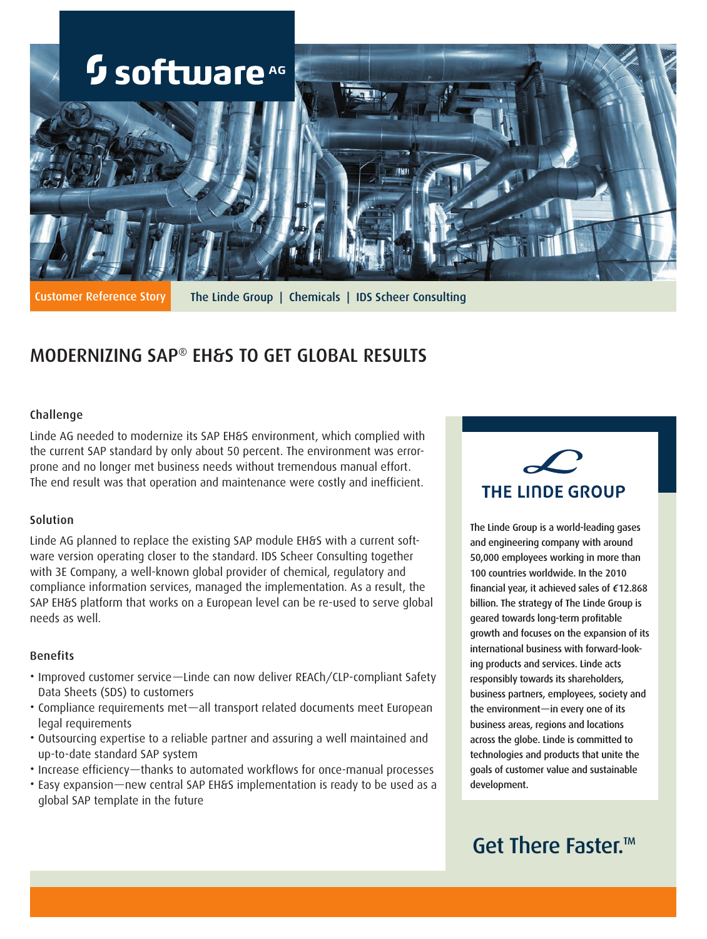

Customer Reference Story The Linde Group | Chemicals | IDS Scheer Consulting

# MODERNIZING SAP® EH&S TO GET GLOBAL RESULTS

# Challenge

Linde AG needed to modernize its SAP EH&S environment, which complied with the current SAP standard by only about 50 percent. The environment was errorprone and no longer met business needs without tremendous manual effort. The end result was that operation and maintenance were costly and inefficient.

## Solution

Linde AG planned to replace the existing SAP module EH&S with a current software version operating closer to the standard. IDS Scheer Consulting together with 3E Company, a well-known global provider of chemical, regulatory and compliance information services, managed the implementation. As a result, the SAP EH&S platform that works on a European level can be re-used to serve global needs as well.

## Benefits

- Improved customer service—Linde can now deliver REACh/CLP-compliant Safety Data Sheets (SDS) to customers
- • Compliance requirements met—all transport related documents meet European legal requirements
- • Outsourcing expertise to a reliable partner and assuring a well maintained and up-to-date standard SAP system
- • Increase efficiency—thanks to automated workflows for once-manual processes
- Easy expansion—new central SAP EH&S implementation is ready to be used as a global SAP template in the future



The Linde Group is a world-leading gases and engineering company with around 50,000 employees working in more than 100 countries worldwide. In the 2010 financial year, it achieved sales of €12.868 billion. The strategy of The Linde Group is geared towards long-term profitable growth and focuses on the expansion of its international business with forward-looking products and services. Linde acts responsibly towards its shareholders, business partners, employees, society and the environment—in every one of its business areas, regions and locations across the globe. Linde is committed to technologies and products that unite the goals of customer value and sustainable development.

# Get There Faster.<sup>™</sup>